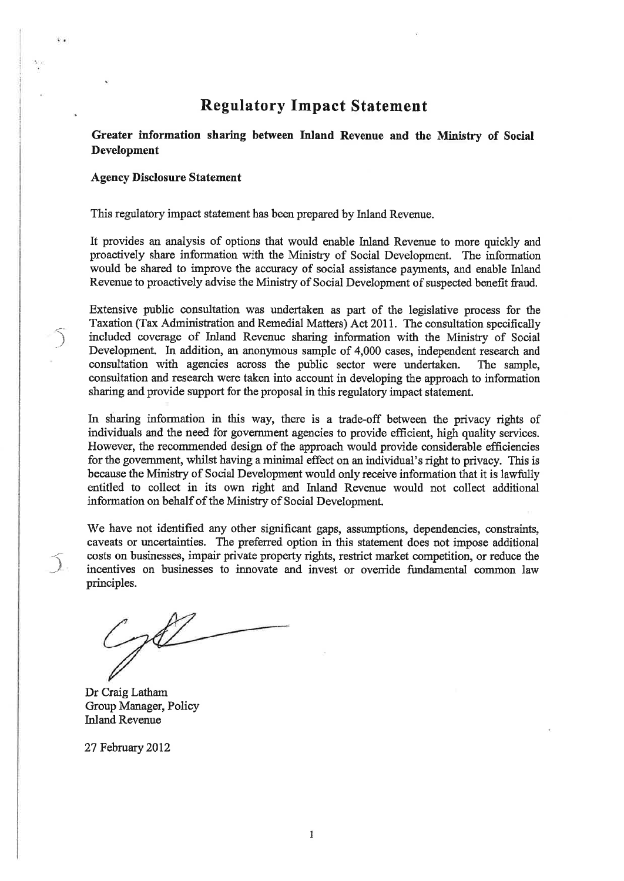# Regulatory Impact Statement

Greater information sharing between Inland Revenue and the Ministry of Social Development

#### Agency Disclosure Statement

 $\widehat{\mathcal{C}}$ 

 $\mathbf{C}$ 

 $\frac{1}{2}$ 

This regulatory impact statement has been prepared by Inland Revenue.

It provides an analysis of options that would enable Inland Revenue to more quickly and proactively share information with the Ministry of Social Development. The information would be shared to improve the accuracy of social assistance payments, and enable Inland Revenue to proactively advise the Ministry of Social Development of suspected benefit fraud.

Extensive public consultation was undertaken as part of the legislative process for the Taxation (Tax Administration and Remedial Matters) Act20l1. The consultation specifically included coverage of Inland Revenue sharing information with the Ministry of Social Development. In addition, an anonymous sample of 4,000 cases, independent research and consultation with agencies across the public sector were undertaken. The sample, consultation and research were taken into account in developing the approach to information sharing and provide support for the proposal in this regulatory impact statement.

Lr sharing infomration in this way, there is a trade-off between the privacy rights of individuals and the need for government agencies to provide efficient, high quality services. However, the recomrnended design of the approach would provide considerable efficiencies for the govemment, whilst having a minimal effect on an individual's right to privacy. This is because the Ministry of Social Development would only receive information that it is lawfully entitled to collect in its own rigþt and hland Revenue would not collect additional information on behalf of the Ministry of Social Development.

'We have not identified any other significant gaps, assumptions, dependencies, constraints, caveats or uncertainties. The preferred option in this statement does not impose additional costs on businesses, impair private property rights, restrict market competition, or reduce the incentives on businesses to innovate and invest or override fundamental common law principles.

Dr Craig Latham Group Manager, Policy Inland Revenue

27 February 2012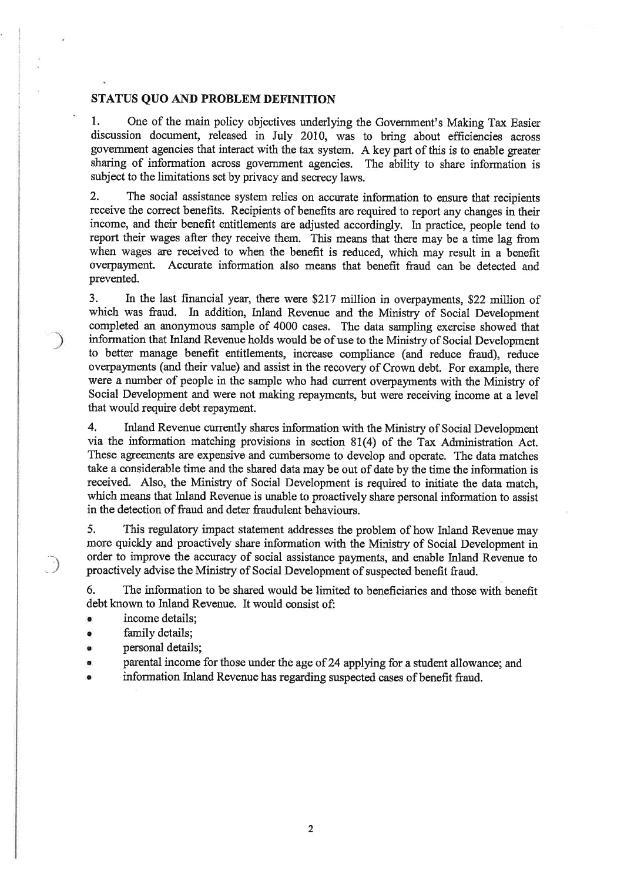#### STATUS QUO AND PROBLEM DEFINITION

1. One of the main policy objectives underlying the Government's Making Tax Easier discussion document, released in July 2010, was to bring about efficiencies across government agencies that interact with the tax system. A key part of this is to enable greater sharing of information across govemment agencies. The ability to share information is subject to the limitations set by privacy and secrecy laws.

2. The social assistance system relies on accurate information to ensure that recipients receive the correct benefits. Recipients of benefits are required to report any changes in their income, and their benefit entitlements are adjusted accordingly. ln practice, people tend to report their wages after they receive them. This means that there may be a time lag from when wages are received to when the benefit is reduced, which may result in a benefit overpayment. Accurate information also means that benefit fraud can be detected and prevented.

3. In the last financial year, there were \$217 million in overpayments, \$22 million of which was fraud. In addition, Inland Revenue and the Ministry of Social Development completed an anonymous sarnple of 4000 cases. The data sampling exercise showed that information that Inland Revenue holds would be of use to the Ministry of Social Development to better manage benefit entitlements, increase compliance (and reduce fraud), reduce overpayments (and their value) and assist in the recovery of Crown debt. For example, there were a number of people in the sample who had current overpayments with the Ministry of Social Development and were not making repayments, but were receiving income at a level that would require debt repayment.

4, Inland Revenue currently shares information with the Ministry of Social Development via the information matching provisions in section  $81(4)$  of the Tax Administration Act. These agreements are expensive and cumbersome to develop and operate. The data matches take a considerable time and the shared data may be out of date by the time the information is received. Also, the Ministry of Social Development is required to initiate the data match, which means that Inland Revenue is unable to proactively share personal information to assist in the detection of fraud and deter fraudulent behaviours.

5. This regulatory impact statement addresses the problem of how hland Revenue may more quickly and proactively share information with the Ministry of Social Development in order to improve the accuracy of social assistance payments, and enable Inland Revenue to proactively advise the Ministry of Social Development of suspected benefit fraud.

6. The information to be shared would be limited to beneficiaries and those with benefit debt known to Inland Revenue. It would consist of:

income details;

'â

- family details;
- personal details;
- parental income for those under the age of 24 applying for a student allowance; and
- information Inland Revenue has regarding suspected cases of benefit fraud.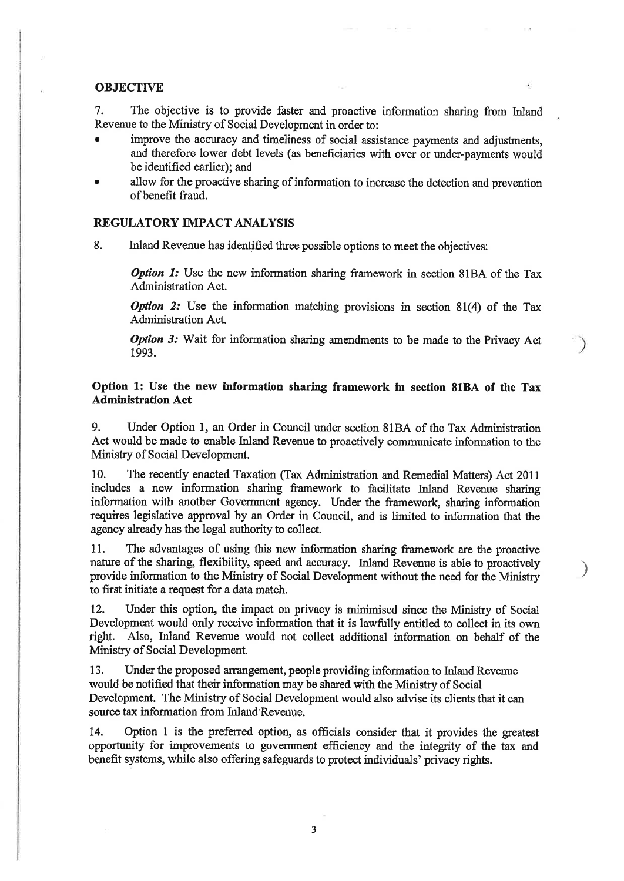#### **OBJECTIVE**

7. The objective is to provide faster and proactive information sharing from Inland Revenue to the Ministry of Social Development in order to:

- . improve the accuracy and timeliness of social assistance payments and adjustrnents, and therefore lower debt levels (as beneficiaries with over or under-payments would be identified earlier); and
- allow for the proactive sharing of information to increase the detection and prevention ofbenefit fraud.

# REGULATORY IMPACT ANALYSIS

8. Inland Revenue has identified three possible options to meet the objectives:

**Option 1:** Use the new information sharing framework in section 81BA of the Tax Administration Act.

**Option 2:** Use the information matching provisions in section  $81(4)$  of the Tax Administration Act.

Option 3: Wait for information sharing amendments to be made to the Privacy Act 1993.

# Option 1: Use the new information sharing framework in section 81BA of the Tax **Administration Act**

9. Under Option l, an Order in Council under section 81BA of the Tax Administration Act would be made to enable Inland Revenue to proactively communicate information to the Ministry of Social Development.

10. The recently enacted Taxation (Tax Administration and Rernedial Matters) Act <sup>2011</sup> includes a new information sharing framework to facilitate Inland Revenue sharing information with another Government agency. Under the framework, sharing information requires legislative approval by an Order in Council, and is limited to information that the agency already has the legal authority to collect.

11. The advantages of using this new information sharing framework are the proactive nature of the sharing, flexibility, speed and accuracy. Inland Revenue is able to proactively provide information to the Ministry of Social Development without the need for the Ministy to first initiate a request for a data match.

)

 $\big)$ 

12. Under this option, the impact on privacy is minimised since the Ministry of Social Development would only receive information that it is lawfully entitled to collect in its own right. Also, Inland Revenue would not collect additional information on behalf of the Ministry of Social Development.

13. Under the proposed arrangement, people providing information to hland Revenue would be notified that their information may be shared with the Ministry of Social Development. The Ministry of Social Development would also advise its clients that it can source tax information from Inland Revenue.

14. Option 1 is the preferred option, as officials consider that it provides the greatest opportunity for improvements to government efficiency and the integrity of the tax and benefit systems, while also offering safeguards to protect individuals' privacy rights.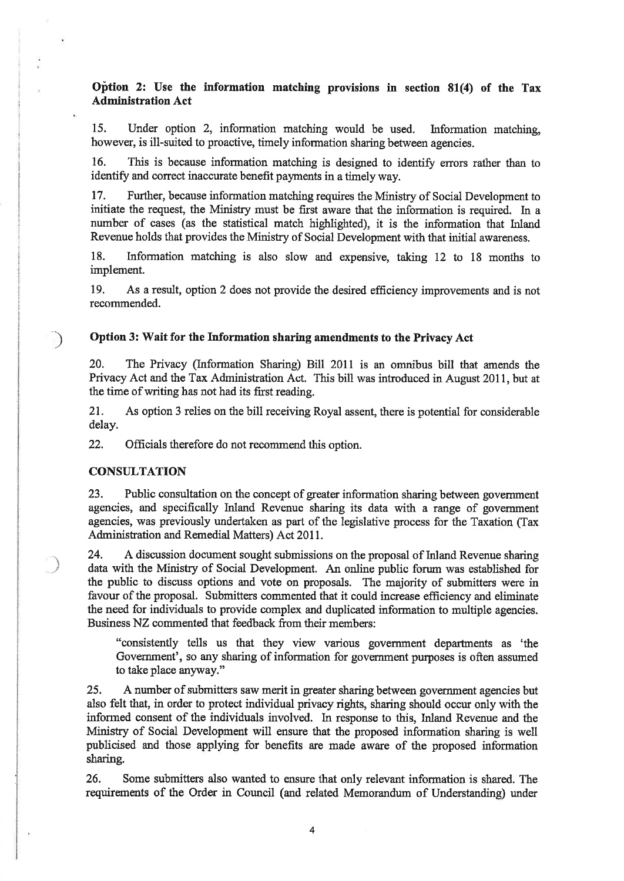# Oþtion 2: Use the information matching provisions in section 81(4) of the Tax Admínistration Act

15. Under option 2, information matching would be used. Information matching, however, is ill-suited to proactive, timely information sharing between agencies.

16. This is because information matching is designed to identify errors rather than to identify and correct inaccurate benefit payments in a timely way.

17. Further, because information matching requires the Ministy of Social Development to initiate the request, the Ministry must be first aware that the information is required. In a number of cases (as the statistical match highlighted), it is the information that Inland Revenue holds that provides the Ministry of Social Development with that initiat awareness.

18. Information matching is also slow and expensive, taking 12 to 18 months to implement.

19. As a result, option 2 does not provide the desired efficiency improvements and is not recommended.

## ) Option 3: Wait for the Information sharing amendments to the Privacy Act

20. The Privacy (Infonnation Sharing) Bill 2011 is an omnibus bill that amends the Privacy Act and the Tax Administration Act. This bill was introduced in August 2011, but at the time of writing has not had its first reading.

21. As option 3 relies on the bill receiving Royal assent, there is potential for considerable delay.

22. Officials therefore do not recommend this option.

### **CONSULTATION**

ì r 23. Public consultation on the concept of greater information sharing between govemment agencies, and specifically Inland Revenue sharing its data with a range of govenrment agencies, was previously undertaken as part of the legislative process for the Taxation (Tax Administration and Remedial Matters) Act 2011.

24. <sup>A</sup>discussion document sought submissions on the proposal of Inland Revenue sharing data with the Ministry of Social Development, An online public forum was established for the public to discuss options and vote on proposals. The majority of submitters were in favour of the proposal. Submitters commented that it could increase efficiency and eliminate the need for individuals to provide complex and duplicated infonnation to multiple agencies. Business NZ commented that feedback from their members:

"consistently tells us that they view various government departments as 'the Government', so any sharing of information for government purposes is often assumed to take place anyway."

25, <sup>A</sup>number of submitters saw merit in greater sharing between government agencies but also felt that, in order to protect individual privacy rights, sharing should occur only with the informed consent of the individuals involved. ln response to this, Inland Revenue and the Ministry of Social Development will ensure that the proposed information sharing is well publicised and those applying for benefits are made aware of the proposed information sharing.

26. Some submitters also wanted to ensure that only relevant information is shared. The requirements of the Order in Council (and related Memorandum of Understanding) under

4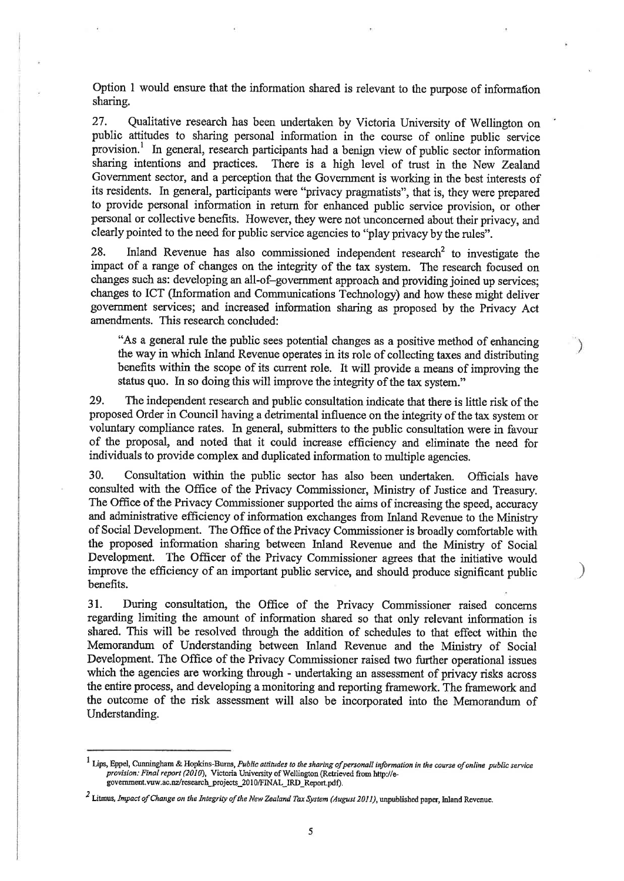Option 1 would ensure that the information shared is relevant to the purpose of information sharing.

27. Qualitative research has been undertaken by Victoria University of Wetlington on public attitudes to sharing personal information in the course of online public service provision.<sup>1</sup> In general, research participants had a benign view of public sector information sharing intentions and practices. There is a high level of trust in the New Zealand Government sector, and a perception that the Government is working in the best interests of its residents. In general, participants were "privacy pragmatists", that is, they were prepared to provide personal information in return for enhanced public service provision, or other personal or collective benefits. However, they were not unconcerned about their privacy, and clearly pointed to the need for public service agencies to "play privacy by the rules".

28. Inland Revenue has also commissioned independent research<sup>2</sup> to investigate the impact of a range of changes on the integrity of the tax system. The research focused on changes such as: developing an all-of-government approach and providing joined up services; changes to ICT (Information and Communications Technology) and how these might deliver govemment services; and increased information sharing as proposed by the Privacy Act amendments. This research concluded:

"As a general rule the public sees potential changes as a positive method of enhancing the way in which Inland Revenue operates in its role of collecting taxes and distributing benefits within the scope of its current role. It will provide a means of improving the status quo. In so doing this will improve the integrity of the tax system."

29. The independent research and public consultation indicate that there is little risk of the proposed Order in Council having a detrimental influence on the integrity of the tax system or voluntary compliance rates. In general, submitters to the public consultation were in favour of the proposal, and noted that it could increase efficiency and eliminate the need for individuals to provide complex and duplicated information to multiple agencies.

30. Consultation within the public sector has also been undertaken. Officials have consulted with the Office of the Privacy Commissioner, Ministry of Justice and Treasury. The Office of the Privacy Commissioner supported the aims of increasing the speed, accuracy and administrative efficiency of information exchanges from Inland Revenue to the Ministry of Social Development. The Office of the Privacy Commissioner is broadly comfortable with the proposed information sharing between Inland Revenue and the Ministry of Social Development. The Officer of the Privacy Commissioner agrees that the initiative would improve the efficiency of an important public service, and should produce significant public benefits.

)

 $\rightarrow$ 

31. During consultation, the Office of the Privacy Commissioner raised concems regarding limiting the amount of information shared so that only relevant information is shared. This will be resolved through the addition of schedules to that effect within the Memorandum of Understanding between Inland Revenue and the Ministry of Social Development. The Office of the Privacy Commissioner raised two further operational issues which the agencies are working through - undertaking an assessment of privacy risks across the entire process, and developing a monitoring and reporting framework. The framework and the outcome of the risk assessment will also be incorporated into the Mernorandum of Understanding.

 $^1$  Lips, Eppel, Cunningham & Hopkins-Burns, Public attitudes to the sharing of personall information in the course of online public service provision: Final report (2010), Victoria University of Wellington (Retrieved from http://egovernment.vuw.ac.nz/research\_projects\_2010/FINAL\_IRD\_Report.pdf).

 $2$  Litmus, Impact of Change on the Integrity of the New Zealand Tax System (August 2011), unpublished paper, Inland Revenue.